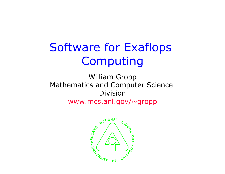# Software for Exaflops Computing

William Gropp Mathematics and Computer Science Division www.mcs.anl.gov/~gropp

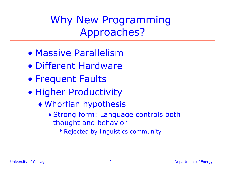Why New Programming Approaches?

- Massive Parallelism
- Different Hardware
- Frequent Faults
- Higher Productivity
	- ♦Whorfian hypothesis
		- Strong form: Language controls both thought and behavior
			- **Rejected by linguistics community**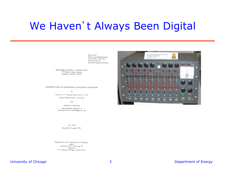#### We Haven't Always Been Digital

ANL-6187 Physics & Mathematics (TID-4500, 15th Ed.) AEC Research and Development Report

ARGONNE NATIONAL LABORATORY 9700 South Cass Avenue Argonne, Illinois 60439

INTRODUCTION TO ELECTRONIC ANALOGUE COMPUTING

#### by

Lawrence T. Bryant and Louis C. Just Applied Mathematics Division

and

Gerard S. Pawlicki International Institute of Nuclear Science and Engineering

July 1960

Reprinted August 1966

Operated by The University of Chicago under Contract  $W-31-109$ -eng-38 with the U. S. Atomic Energy Commission

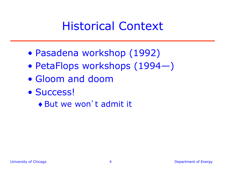### Historical Context

- Pasadena workshop (1992)
- PetaFlops workshops (1994—)
- Gloom and doom
- Success!
	- ♦ But we won't admit it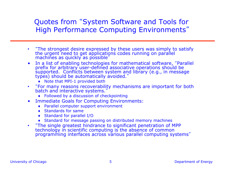#### Quotes from "System Software and Tools for High Performance Computing Environments"

- "The strongest desire expressed by these users was simply to satisfy the urgent need to get applications codes running on parallel machines as quickly as possible"
- In a list of enabling technologies for mathematical software, "Parallel prefix for arbitrary user-defined associative operations should be supported. Conflicts between system and library (e.g., in message types) should be automatically avoided."
	- ♦ Note that MPI-1 provided both
- "For many reasons recoverability mechanisms are important for both batch and interactive systems."
	- ♦ Followed by a discussion of checkpointing
- Immediate Goals for Computing Environments:
	- ♦ Parallel computer support environment
	- ♦ Standards for same
	- ♦ Standard for parallel I/O
	- ♦ Standard for message passing on distributed memory machines
- "The single greatest hindrance to significant penetration of MPP technology in scientific computing is the absence of common programming interfaces across various parallel computing systems"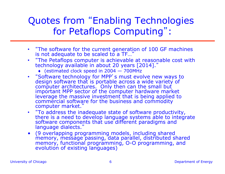#### Quotes from "Enabling Technologies for Petaflops Computing" :

- "The software for the current generation of 100 GF machines is not adequate to be scaled to a TF..."
- "The Petaflops computer is achievable at reasonable cost with technology available in about 20 years [2014]."
	- ♦ (estimated clock speed in 2004 700MHz
- "Software technology for MPP's must evolve new ways to design software that is portable across a wide variety of computer architectures. Only then can the small but important MPP sector of the computer hardware market leverage the massive investment that is being applied to commercial software for the business and commodity computer market."
- "To address the inadequate state of software productivity, there is a need to develop language systems able to integrate software components that use different paradigms and language dialects."
- (9 overlapping programming models, including shared memory, message passing, data parallel, distributed shared memory, functional programming, O-O programming, and evolution of existing languages)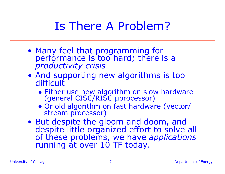# Is There A Problem?

- Many feel that programming for performance is too hard; there is a *productivity crisis*
- And supporting new algorithms is too difficult
	- ♦ Either use new algorithm on slow hardware (general CISC/RISC µprocessor)
	- ♦ Or old algorithm on fast hardware (vector/ stream processor)
- But despite the gloom and doom, and despite little organized effort to solve all of these problems, we have *applications* running at over 10 TF today.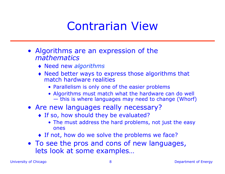#### Contrarian View

- Algorithms are an expression of the *mathematics* 
	- ♦ Need new *algorithms*
	- ♦ Need better ways to express those algorithms that match hardware realities
		- Parallelism is only one of the easier problems
		- Algorithms must match what the hardware can do well — this is where languages may need to change (Whorf)
- Are new languages really necessary?
	- ♦ If so, how should they be evaluated?
		- The must address the hard problems, not just the easy ones
	- ♦ If not, how do we solve the problems we face?
- To see the pros and cons of new languages, lets look at some examples…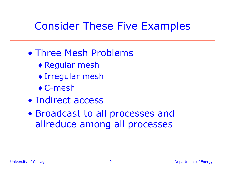#### Consider These Five Examples

- Three Mesh Problems
	- ♦ Regular mesh
	- ♦ Irregular mesh
	- $\bullet$  C-mesh
- Indirect access
- Broadcast to all processes and allreduce among all processes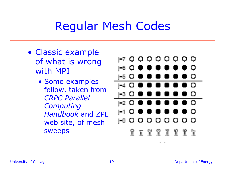# Regular Mesh Codes

- Classic example of what is wrong with MPI
	- ♦ Some examples follow, taken from *CRPC Parallel Computing Handbook* and ZPL web site, of mesh sweeps

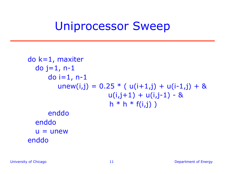#### Uniprocessor Sweep

```
do k=1, maxiter 
  do j=1, n-1 
     do i=1, n-1
        unew(i,j) = 0.25 * (u(i+1,j) + u(i-1,j) + 8u(i,j+1) + u(i,j-1) - 8h * h * f(i,j)enddo 
  enddo 
  u = unew
enddo
```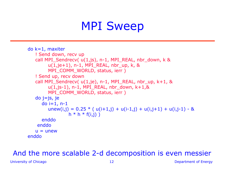## MPI Sweep

```
do k=1, maxiter 
   ! Send down, recv up 
   call MPI_Sendrecv( u(1,js), n-1, MPI_REAL, nbr_down, k & 
        u(1,je+1), n-1, MPI_REAL, nbr_up, k, & 
        MPI_COMM_WORLD, status, ierr )
   ! Send up, recv down 
   call MPI_Sendrecv(u(1,je), n-1, MPI_REAL, nbr_up, k+1, &
        u(1,js-1), n-1, MPI_REAL, nbr_down, k+1,&
        MPI_COMM_WORLD, status, ierr )
   do j=js, je 
     do i=1, n-1
        unew(i,j) = 0.25 * (u(i+1,j) + u(i-1,j) + u(i,j+1) + u(i,j-1) - 8h * h * f(i,i) enddo 
     enddo 
   u =unew
enddo
```
#### And the more scalable 2-d decomposition is even messier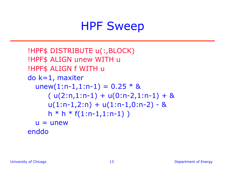### HPF Sweep

```
!HPF$ DISTRIBUTE u(:,BLOCK) 
!HPF$ ALIGN unew WITH u 
!HPF$ ALIGN f WITH u 
do k=1, maxiter 
  unew(1:n-1,1:n-1) = 0.25 * 8(u(2:n,1:n-1) + u(0:n-2,1:n-1) + 8u(1:n-1,2:n) + u(1:n-1,0:n-2) - 8h * h * f(1:n-1,1:n-1)u = unew
enddo
```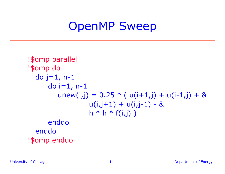### OpenMP Sweep

```
!$omp parallel 
!$omp do 
  do j=1, n-1
     do i=1, n-1
        unew(i,j) = 0.25 * (u(i+1,j) + u(i-1,j) + 8u(i,j+1) + u(i,j-1) - 8h * h * f(i,j)enddo 
  enddo 
!$omp enddo
```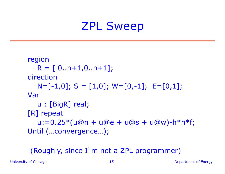# ZPL Sweep

```
region 
  R = [0..n+1,0..n+1];direction 
  N=[-1,0]; S=[1,0]; W=[0,-1]; E=[0,1];
Var 
   u : [BigR] real; 
[R] repeat 
  u:=0.25*(u@n + u@e + u@s + u@w) - h*h*f;Until (…convergence…);
```
#### (Roughly, since I'm not a ZPL programmer)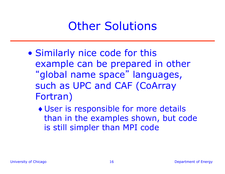# Other Solutions

- Similarly nice code for this example can be prepared in other "global name space" languages, such as UPC and CAF (CoArray Fortran)
	- ♦ User is responsible for more details than in the examples shown, but code is still simpler than MPI code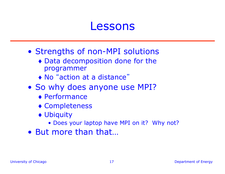#### Lessons

- Strengths of non-MPI solutions
	- ♦ Data decomposition done for the programmer
	- ♦ No "action at a distance"
- So why does anyone use MPI?
	- ♦ Performance
	- ♦ Completeness
	- ♦ Ubiquity
		- Does your laptop have MPI on it? Why not?
- But more than that…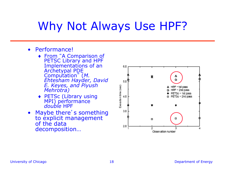# Why Not Always Use HPF?

- Performance!
	- ♦ From "A Comparison of PETSC Library and HPF Implementations of an Archetypal PDE Computation" (*M. Ehtesham Hayder, David E. Keyes, and Piyush Mehrotra)*
	- ♦ PETSc (Library using MPI) performance *double* HPF
- Maybe there's something to explicit management<br>of the data decomposition…

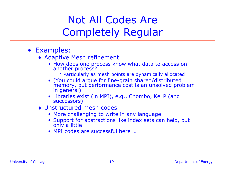#### Not All Codes Are Completely Regular

- Examples:
	- ♦ Adaptive Mesh refinement
		- How does one process know what data to access on another process?
			- 8Particularly as mesh points are dynamically allocated
		- (You could argue for fine-grain shared/distributed memory, but performance cost is an unsolved problem in general)
		- Libraries exist (in MPI), e.g., Chombo, KeLP (and successors)
	- ♦ Unstructured mesh codes
		- More challenging to write in any language
		- Support for abstractions like index sets can help, but only a little
		- MPI codes are successful here …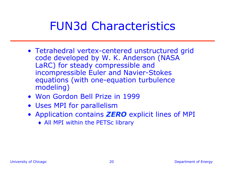# FUN3d Characteristics

- Tetrahedral vertex-centered unstructured grid code developed by W. K. Anderson (NASA LaRC) for steady compressible and incompressible Euler and Navier-Stokes equations (with one-equation turbulence modeling)
- Won Gordon Bell Prize in 1999
- Uses MPI for parallelism
- Application contains *ZERO* explicit lines of MPI
	- ♦ All MPI within the PETSc library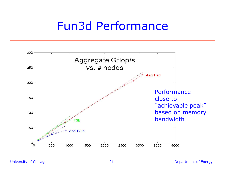#### Fun3d Performance

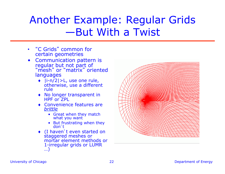#### Another Example: Regular Grids —But With a Twist

- "C Grids" common for certain geometries
- Communication pattern is regular but not part of "mesh" or "matrix" oriented languages
	- $\bullet$  |i-n/2|>L, use one rule, otherwise, use a different rule
	- ♦ No longer transparent in HPF or **ZPL**
	- ♦ Convenience features are *brittle*
		- Great when they match what you want
		- But frustrating when they don't
	- ♦ (I haven't even started on staggered meshes or mortar element methods or 1-irregular grids or LUMR …)

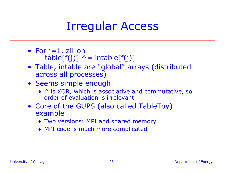### Irregular Access

- For  $j=1$ , zillion  $table[f(j)]$  ^= intable[f(j)]
- Table, intable are "global" arrays (distributed across all processes)
- Seems simple enough
	- ♦ ^ is XOR, which is associative and commutative, so order of evaluation is irrelevant
- Core of the GUPS (also called TableToy) example
	- ♦ Two versions: MPI and shared memory
	- ♦ MPI code is much more complicated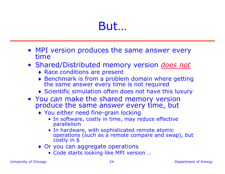# But…

- MPI version produces the same answer every time
- Shared/Distributed memory version *does not*
	- ♦ Race conditions are present
	- ♦ Benchmark is from a problem domain where getting the same answer every time is not required
	- ♦ Scientific simulation often does not have this luxury
- You *can* make the shared memory version produce the same answer every time, but
	- ♦ You either need fine-grain locking
		- In software, costly in time, may reduce effective parallelism
		- In hardware, with sophisticated remote atomic operations (such as a remote compare and swap), but costly in \$
	- ♦ Or you can aggregate operations
		- Code starts looking like MPI version …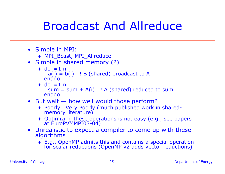# Broadcast And Allreduce

- Simple in MPI:
	- ♦ MPI\_Bcast, MPI\_Allreduce
- Simple in shared memory (?)
	- $\triangleleft$  do i=1,n  $a(i) = b(i)$  ! B (shared) broadcast to A enddo
	- $\bullet$  do i=1,n  $sum = sum + A(i)$  ! A (shared) reduced to sum enddo
- But wait how well would those perform?
	- ♦ Poorly. Very Poorly (much published work in sharedmemory literature)
	- ♦ Optimizing these operations is not easy (e.g., see papers at EuroPVMMPI03-04)
- Unrealistic to expect a compiler to come up with these algorithms
	- ♦ E.g., OpenMP admits this and contains a special operation for scalar reductions (OpenMP v2 adds vector reductions)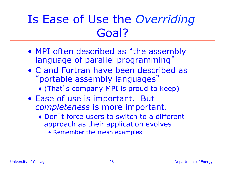# Is Ease of Use the *Overriding* Goal?

- MPI often described as "the assembly language of parallel programming"
- C and Fortran have been described as "portable assembly languages"
	- ♦ (That's company MPI is proud to keep)
- Ease of use is important. But *completeness* is more important.
	- ♦ Don't force users to switch to a different approach as their application evolves
		- Remember the mesh examples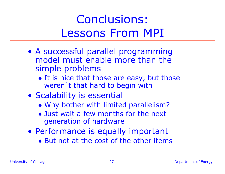# Conclusions: Lessons From MPI

- A successful parallel programming model must enable more than the simple problems
	- $\bullet$  It is nice that those are easy, but those weren't that hard to begin with
- Scalability is essential
	- ♦ Why bother with limited parallelism?
	- ♦ Just wait a few months for the next generation of hardware
- Performance is equally important ♦ But not at the cost of the other items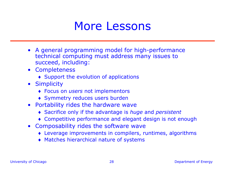#### More Lessons

- A general programming model for high-performance technical computing must address many issues to succeed, including:
- Completeness
	- ♦ Support the evolution of applications
- Simplicity
	- ♦ Focus on *users* not implementors
	- ♦ Symmetry reduces users burden
- Portability rides the hardware wave
	- ♦ Sacrifice only if the advantage is *huge* and *persistent*
	- ♦ Competitive performance and elegant design is not enough
- Composability rides the software wave
	- ♦ Leverage improvements in compilers, runtimes, algorithms
	- ♦ Matches hierarchical nature of systems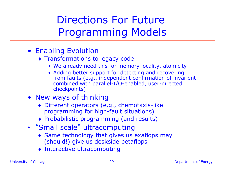#### Directions For Future Programming Models

- Enabling Evolution
	- ♦ Transformations to legacy code
		- We already need this for memory locality, atomicity
		- Adding better support for detecting and recovering from faults (e.g., independent confirmation of invarient combined with parallel-I/O-enabled, user-directed checkpoints)
- New ways of thinking
	- ♦ Different operators (e.g., chemotaxis-like programming for high-fault situations)
	- ♦ Probabilistic programming (and results)
- "Small scale" ultracomputing
	- ♦ Same technology that gives us exaflops may (should!) give us deskside petaflops
	- ♦ Interactive ultracomputing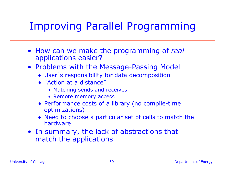#### Improving Parallel Programming

- How can we make the programming of *real* applications easier?
- Problems with the Message-Passing Model
	- ♦ User's responsibility for data decomposition
	- ♦ "Action at a distance"
		- Matching sends and receives
		- Remote memory access
	- ♦ Performance costs of a library (no compile-time optimizations)
	- ♦ Need to choose a particular set of calls to match the hardware
- In summary, the lack of abstractions that match the applications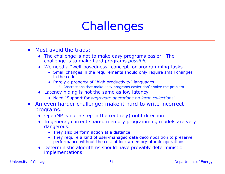# **Challenges**

- Must avoid the traps:
	- ♦ The challenge is not to make easy programs easier. The challenge is to make hard programs *possible*.
	- ♦ We need a "well-posedness" concept for programming tasks
		- Small changes in the requirements should only require small changes in the code
		- Rarely a property of "high productivity" languages
			- Abstractions that make easy programs easier don't solve the problem
	- ♦ Latency hiding is not the same as low latency
		- Need "Support for *aggregate operations on large collections*"
- An even harder challenge: make it hard to write incorrect programs.
	- ♦ OpenMP is not a step in the (entirely) right direction
	- ♦ In general, current shared memory programming models are very dangerous.
		- They also perform action at a distance
		- They require a kind of user-managed data decomposition to preserve performance without the cost of locks/memory atomic operations
	- ♦ Deterministic algorithms should have provably deterministic implementations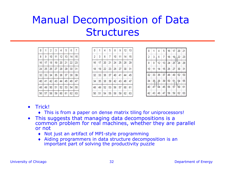### Manual Decomposition of Data **Structures**

| 0  | 1  | $\overline{2}$ | 3  | 4  | 5  | 6  | 7  |
|----|----|----------------|----|----|----|----|----|
| 8  | 9  | 10             | 11 | 12 | 13 | 14 | 15 |
| 16 | 17 | 18             | 19 | 20 | 21 | 22 | 23 |
| 24 | 25 | 26             | 27 | 28 | 29 | 30 | 31 |
| 32 | 33 | 34             | 35 | 36 | 37 | 38 | 39 |
| 40 | 41 | 42             | 43 | 44 | 45 | 46 | 47 |
| 48 | 49 | 50             | 51 | 52 | 53 | 54 | 55 |
| 56 | 57 | 58             | 59 | 60 | 61 | 62 | 63 |

| 0              |    | 4  | 5                    | 8       | 9                 |         | $12$ 13 |
|----------------|----|----|----------------------|---------|-------------------|---------|---------|
| $\overline{2}$ | 3  | 6  | 7                    | 10      | 11                | 14   15 |         |
| 16             | 17 | 20 | 21                   | $24$ 25 |                   | 28 29   |         |
| 18             | 19 |    | 22   23              | $26$ 27 |                   | 30   31 |         |
| 32             | 33 |    | $36 \mid 37 \mid 40$ |         | 41                | 44 45   |         |
| 34             | 35 | 38 | 39                   |         | $42 \mid 43 \mid$ | 46      | 47      |
| 48             | 49 | 52 | 53                   | 56      | 57                | 60      | 61      |
| 50             | 51 | 54 |                      |         | 55 58 59 62       |         | 63      |

| 0              | 1 <sup>1</sup>    | 4           |                | $5 \mid 16$ |         |          | $17$   20   21 |
|----------------|-------------------|-------------|----------------|-------------|---------|----------|----------------|
| $\overline{2}$ | $\mathbf{3}$      | 6           | $\overline{7}$ | 18          | $19$ 22 |          | 23             |
| 8              | 9.                | 12          |                | 13 24 25 28 |         |          | 29             |
| 10             | 11                | 14          |                | 15 26 27    |         |          | 30   31        |
| 32             |                   | 33 36 37 48 |                |             | 49      | 52       | 53             |
| 34             | 35 38 39 50 51 54 |             |                |             |         |          | 55             |
| 40             | 41                | † 44        |                | 45 56       | 57      | $V_{60}$ | 61             |
| 42             |                   | 43   46     |                | 47 58 59 62 |         |          | 63             |

- Trick!
	- ♦ This is from a paper on dense matrix tiling for uniprocessors!
- This suggests that managing data decompositions is a common problem for real machines, whether they are parallel or not
	- ♦ Not just an artifact of MPI-style programming
	- ♦ Aiding programmers in data structure decomposition is an important part of solving the productivity puzzle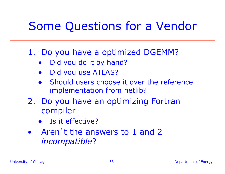# Some Questions for a Vendor

#### 1. Do you have a optimized DGEMM?

- Did you do it by hand?
- Did you use ATLAS?
- Should users choose it over the reference implementation from netlib?
- 2. Do you have an optimizing Fortran compiler
	- ♦ Is it effective?
- Aren't the answers to 1 and 2 *incompatible*?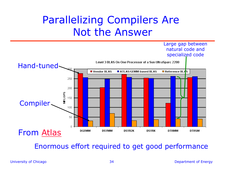#### Parallelizing Compilers Are Not the Answer



Enormous effort required to get good performance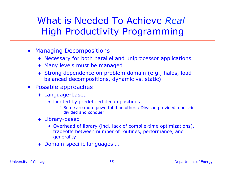What is Needed To Achieve *Real*  High Productivity Programming

- Managing Decompositions
	- ♦ Necessary for both parallel and uniprocessor applications
	- ♦ Many levels must be managed
	- ♦ Strong dependence on problem domain (e.g., halos, loadbalanced decompositions, dynamic vs. static)
- Possible approaches
	- ♦ Language-based
		- Limited by predefined decompositions
			- Some are more powerful than others; Divacon provided a built-in divided and conquer
	- ♦ Library-based
		- Overhead of library (incl. lack of compile-time optimizations), tradeoffs between number of routines, performance, and generality
	- ♦ Domain-specific languages …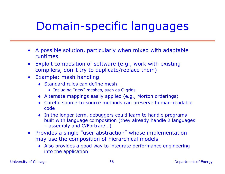# Domain-specific languages

- A possible solution, particularly when mixed with adaptable runtimes
- Exploit composition of software (e.g., work with existing compilers, don't try to duplicate/replace them)
- Example: mesh handling
	- ♦ Standard rules can define mesh
		- Including "new" meshes, such as C-grids
	- ♦ Alternate mappings easily applied (e.g., Morton orderings)
	- ♦ Careful source-to-source methods can preserve human-readable code
	- ♦ In the longer term, debuggers could learn to handle programs built with language composition (they already handle 2 languages – assembly and C/Fortran/…)
- Provides a single "user abstraction" whose implementation may use the composition of hierarchical models
	- ♦ Also provides a good way to integrate performance engineering into the application